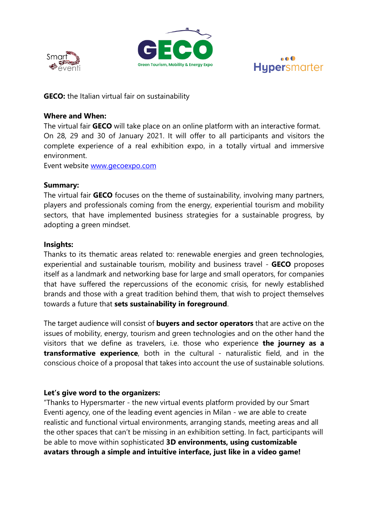





**GECO:** the Italian virtual fair on sustainability

#### **Where and When:**

The virtual fair **GECO** will take place on an online platform with an interactive format. On 28, 29 and 30 of January 2021. It will offer to all participants and visitors the complete experience of a real exhibition expo, in a totally virtual and immersive environment.

Event website [www.gecoexpo.com](http://www.gecoexpo.com/)

### **Summary:**

The virtual fair **GECO** focuses on the theme of sustainability, involving many partners, players and professionals coming from the energy, experiential tourism and mobility sectors, that have implemented business strategies for a sustainable progress, by adopting a green mindset.

### **Insights:**

Thanks to its thematic areas related to: renewable energies and green technologies, experiential and sustainable tourism, mobility and business travel - **GECO** proposes itself as a landmark and networking base for large and small operators, for companies that have suffered the repercussions of the economic crisis, for newly established brands and those with a great tradition behind them, that wish to project themselves towards a future that **sets sustainability in foreground**.

The target audience will consist of **buyers and sector operators** that are active on the issues of mobility, energy, tourism and green technologies and on the other hand the visitors that we define as travelers, i.e. those who experience **the journey as a transformative experience**, both in the cultural - naturalistic field, and in the conscious choice of a proposal that takes into account the use of sustainable solutions.

## **Let's give word to the organizers:**

"Thanks to Hypersmarter - the new virtual events platform provided by our Smart Eventi agency, one of the leading event agencies in Milan - we are able to create realistic and functional virtual environments, arranging stands, meeting areas and all the other spaces that can't be missing in an exhibition setting. In fact, participants will be able to move within sophisticated **3D environments, using customizable avatars through a simple and intuitive interface, just like in a video game!**